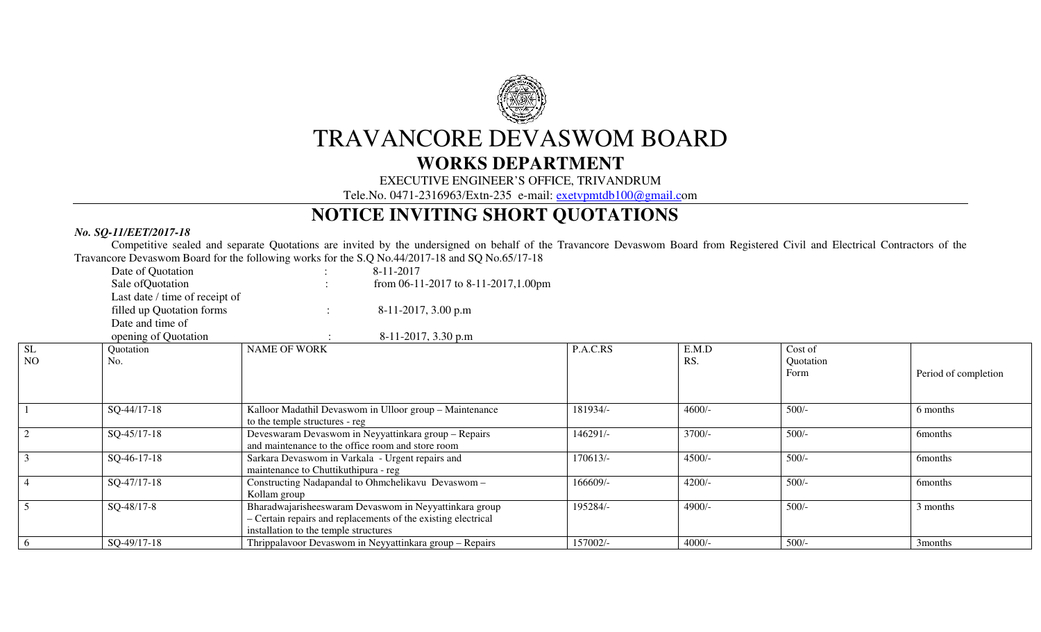

## TRAVANCORE DEVASWOM BOARD

## **WORKS DEPARTMENT**

EXECUTIVE ENGINEER'S OFFICE, TRIVANDRUM

Tele.No. 0471-2316963/Extn-235 e-mail: exetvpmtdb100@gmail.com

## **NOTICE INVITING SHORT QUOTATIONS**

## *No. SQ-11/EET/2017-18*

 Competitive sealed and separate Quotations are invited by the undersigned on behalf of the Travancore Devaswom Board from Registered Civil and Electrical Contractors of the Travancore Devaswom Board for the following works for the S.Q No.44/2017-18 and SQ No.65/17-18

|                | Date of Quotation              |                                                   | 8-11-2017                                                     |          |          |           |                      |
|----------------|--------------------------------|---------------------------------------------------|---------------------------------------------------------------|----------|----------|-----------|----------------------|
|                | Sale of Quotation              |                                                   | from 06-11-2017 to 8-11-2017,1.00pm                           |          |          |           |                      |
|                | Last date / time of receipt of |                                                   |                                                               |          |          |           |                      |
|                | filled up Quotation forms      | $\ddot{\phantom{a}}$                              | 8-11-2017, 3.00 p.m                                           |          |          |           |                      |
|                | Date and time of               |                                                   |                                                               |          |          |           |                      |
|                | opening of Quotation           |                                                   | $8-11-2017$ , 3.30 p.m                                        |          |          |           |                      |
| <b>SL</b>      | Quotation                      | <b>NAME OF WORK</b>                               |                                                               | P.A.C.RS | E.M.D    | Cost of   |                      |
| NO             | No.                            |                                                   |                                                               |          | RS.      | Quotation |                      |
|                |                                |                                                   |                                                               |          |          | Form      | Period of completion |
|                |                                |                                                   |                                                               |          |          |           |                      |
|                | SQ-44/17-18                    |                                                   | Kalloor Madathil Devaswom in Ulloor group - Maintenance       | 181934/- | $4600/-$ | $500/-$   | 6 months             |
|                |                                | to the temple structures - reg                    |                                                               |          |          |           |                      |
| $\overline{2}$ | SQ-45/17-18                    |                                                   | Deveswaram Devaswom in Neyyattinkara group - Repairs          | 146291/- | $3700/-$ | $500/-$   | <b>6months</b>       |
|                |                                | and maintenance to the office room and store room |                                                               |          |          |           |                      |
| $\mathfrak{Z}$ | $SQ-46-17-18$                  | Sarkara Devaswom in Varkala - Urgent repairs and  |                                                               | 170613/- | $4500/-$ | $500/-$   | <b>6months</b>       |
|                |                                | maintenance to Chuttikuthipura - reg              |                                                               |          |          |           |                      |
| $\overline{4}$ | SQ-47/17-18                    |                                                   | Constructing Nadapandal to Ohmchelikavu Devaswom -            | 166609/- | $4200/-$ | $500/-$   | <b>6months</b>       |
|                |                                | Kollam group                                      |                                                               |          |          |           |                      |
| 5 <sup>5</sup> | SQ-48/17-8                     |                                                   | Bharadwajarisheeswaram Devaswom in Neyyattinkara group        | 195284/- | $4900/-$ | $500/-$   | 3 months             |
|                |                                |                                                   | - Certain repairs and replacements of the existing electrical |          |          |           |                      |
|                |                                | installation to the temple structures             |                                                               |          |          |           |                      |
| 6              | SQ-49/17-18                    |                                                   | Thrippalavoor Devaswom in Neyyattinkara group - Repairs       | 157002/- | $4000/-$ | $500/-$   | 3 <sub>months</sub>  |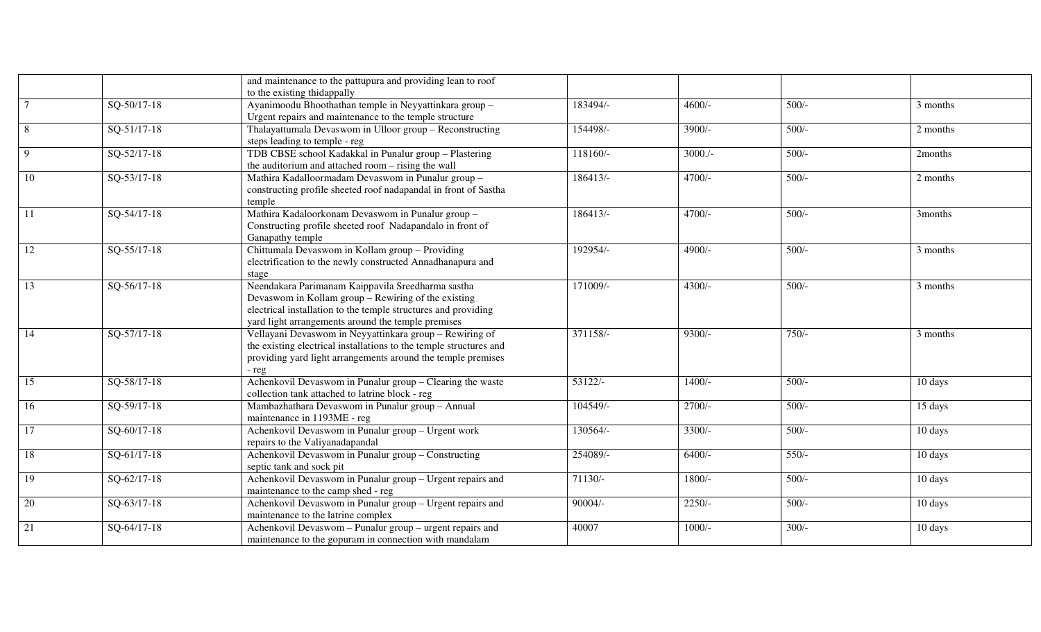|                 |               | and maintenance to the pattupura and providing lean to roof        |            |            |         |          |
|-----------------|---------------|--------------------------------------------------------------------|------------|------------|---------|----------|
|                 |               | to the existing thidappally                                        |            |            |         |          |
| $\overline{7}$  | SQ-50/17-18   | Ayanimoodu Bhoothathan temple in Neyyattinkara group -             | 183494/-   | $4600/-$   | $500/-$ | 3 months |
|                 |               | Urgent repairs and maintenance to the temple structure             |            |            |         |          |
| 8               | SQ-51/17-18   | Thalayattumala Devaswom in Ulloor group - Reconstructing           | 154498/-   | 3900/-     | $500/-$ | 2 months |
|                 |               | steps leading to temple - reg                                      |            |            |         |          |
| 9               | SQ-52/17-18   | TDB CBSE school Kadakkal in Punalur group - Plastering             | 118160/-   | $3000$ ./- | $500/-$ | 2months  |
|                 |               | the auditorium and attached room – rising the wall                 |            |            |         |          |
| 10              | SQ-53/17-18   | Mathira Kadalloormadam Devaswom in Punalur group -                 | $186413/-$ | $4700/-$   | $500/-$ | 2 months |
|                 |               | constructing profile sheeted roof nadapandal in front of Sastha    |            |            |         |          |
|                 |               | temple                                                             |            |            |         |          |
| $\overline{11}$ | $SQ-54/17-18$ | Mathira Kadaloorkonam Devaswom in Punalur group -                  | $186413/-$ | $4700/-$   | $500/-$ | 3months  |
|                 |               | Constructing profile sheeted roof Nadapandalo in front of          |            |            |         |          |
|                 |               | Ganapathy temple                                                   | 192954/-   | 4900/-     | $500/-$ |          |
| 12              | SQ-55/17-18   | Chittumala Devaswom in Kollam group - Providing                    |            |            |         | 3 months |
|                 |               | electrification to the newly constructed Annadhanapura and         |            |            |         |          |
| $\overline{13}$ | SQ-56/17-18   | stage<br>Neendakara Parimanam Kaippavila Sreedharma sastha         | 171009/-   | 4300/-     | $500/-$ | 3 months |
|                 |               | Devaswom in Kollam group - Rewiring of the existing                |            |            |         |          |
|                 |               | electrical installation to the temple structures and providing     |            |            |         |          |
|                 |               | yard light arrangements around the temple premises                 |            |            |         |          |
| 14              | $SO-57/17-18$ | Vellayani Devaswom in Neyyattinkara group - Rewiring of            | 371158/-   | $9300/-$   | $750/-$ | 3 months |
|                 |               | the existing electrical installations to the temple structures and |            |            |         |          |
|                 |               | providing yard light arrangements around the temple premises       |            |            |         |          |
|                 |               | - reg                                                              |            |            |         |          |
| 15              | SQ-58/17-18   | Achenkovil Devaswom in Punalur group - Clearing the waste          | 53122/-    | $1400/-$   | $500/-$ | 10 days  |
|                 |               | collection tank attached to latrine block - reg                    |            |            |         |          |
| 16              | SQ-59/17-18   | Mambazhathara Devaswom in Punalur group - Annual                   | 104549/-   | $2700/-$   | $500/-$ | 15 days  |
|                 |               | maintenance in 1193ME - reg                                        |            |            |         |          |
| $\overline{17}$ | $SO-60/17-18$ | Achenkovil Devaswom in Punalur group - Urgent work                 | 130564/-   | $3300/-$   | $500/-$ | 10 days  |
|                 |               | repairs to the Valiyanadapandal                                    |            |            |         |          |
| 18              | SQ-61/17-18   | Achenkovil Devaswom in Punalur group - Constructing                | 254089/-   | $6400/-$   | $550/-$ | 10 days  |
|                 |               | septic tank and sock pit                                           |            |            |         |          |
| 19              | SQ-62/17-18   | Achenkovil Devaswom in Punalur group - Urgent repairs and          | 71130/-    | 1800/-     | $500/-$ | 10 days  |
|                 |               | maintenance to the camp shed - reg                                 |            |            |         |          |
| 20              | SQ-63/17-18   | Achenkovil Devaswom in Punalur group - Urgent repairs and          | $90004/-$  | $2250/-$   | $500/-$ | 10 days  |
|                 |               | maintenance to the latrine complex                                 |            |            |         |          |
| 21              | SQ-64/17-18   | Achenkovil Devaswom - Punalur group - urgent repairs and           | 40007      | $1000/-$   | $300/-$ | 10 days  |
|                 |               | maintenance to the gopuram in connection with mandalam             |            |            |         |          |